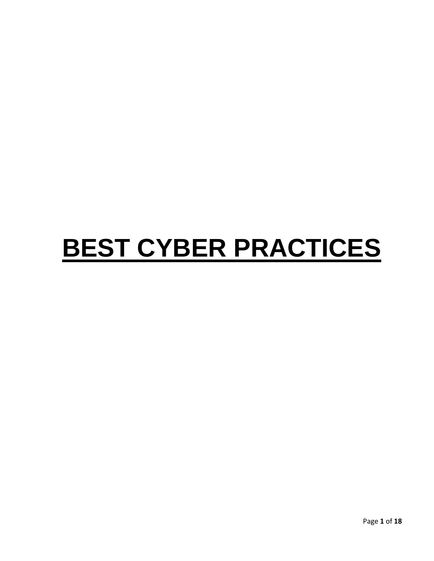# **BEST CYBER PRACTICES**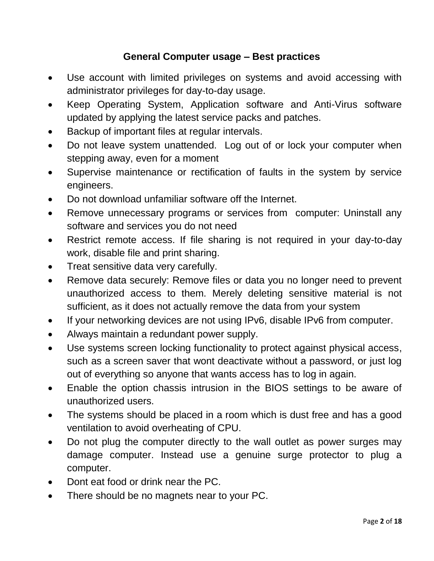# **General Computer usage – Best practices**

- Use account with limited privileges on systems and avoid accessing with administrator privileges for day-to-day usage.
- Keep Operating System, Application software and Anti-Virus software updated by applying the latest service packs and patches.
- Backup of important files at regular intervals.
- Do not leave system unattended. Log out of or lock your computer when stepping away, even for a moment
- Supervise maintenance or rectification of faults in the system by service engineers.
- Do not download unfamiliar software off the Internet.
- Remove unnecessary programs or services from computer: Uninstall any software and services you do not need
- Restrict remote access. If file sharing is not required in your day-to-day work, disable file and print sharing.
- Treat sensitive data very carefully.
- Remove data securely: Remove files or data you no longer need to prevent unauthorized access to them. Merely deleting sensitive material is not sufficient, as it does not actually remove the data from your system
- If your networking devices are not using IPv6, disable IPv6 from computer.
- Always maintain a redundant power supply.
- Use systems screen locking functionality to protect against physical access, such as a screen saver that wont deactivate without a password, or just log out of everything so anyone that wants access has to log in again.
- Enable the option chassis intrusion in the BIOS settings to be aware of unauthorized users.
- The systems should be placed in a room which is dust free and has a good ventilation to avoid overheating of CPU.
- Do not plug the computer directly to the wall outlet as power surges may damage computer. Instead use a genuine surge protector to plug a computer.
- Dont eat food or drink near the PC.
- There should be no magnets near to your PC.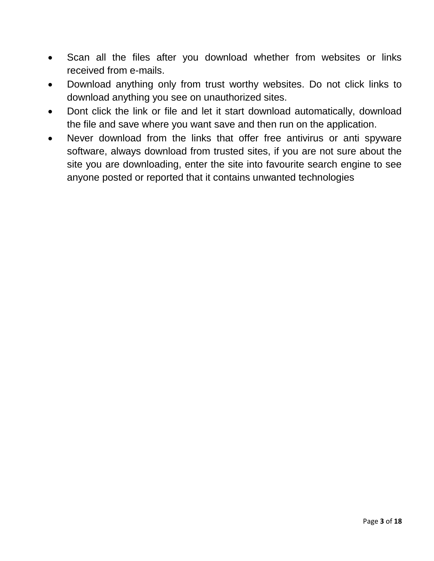- Scan all the files after you download whether from websites or links received from e-mails.
- Download anything only from trust worthy websites. Do not click links to download anything you see on unauthorized sites.
- Dont click the link or file and let it start download automatically, download the file and save where you want save and then run on the application.
- Never download from the links that offer free antivirus or anti spyware software, always download from trusted sites, if you are not sure about the site you are downloading, enter the site into favourite search engine to see anyone posted or reported that it contains unwanted technologies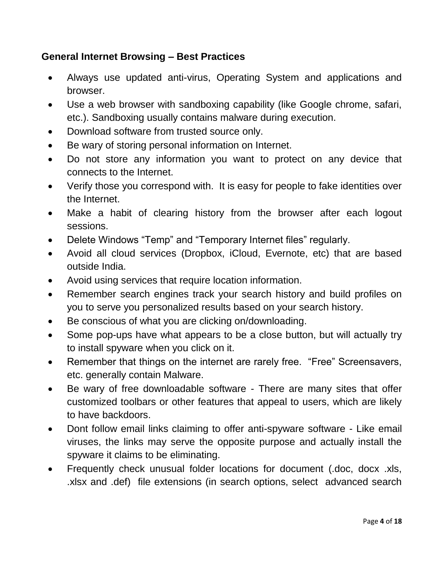# **General Internet Browsing – Best Practices**

- Always use updated anti-virus, Operating System and applications and browser.
- Use a web browser with sandboxing capability (like Google chrome, safari, etc.). Sandboxing usually contains malware during execution.
- Download software from trusted source only.
- Be wary of storing personal information on Internet.
- Do not store any information you want to protect on any device that connects to the Internet.
- Verify those you correspond with. It is easy for people to fake identities over the Internet.
- Make a habit of clearing history from the browser after each logout sessions.
- Delete Windows "Temp" and "Temporary Internet files" regularly.
- Avoid all cloud services (Dropbox, iCloud, Evernote, etc) that are based outside India.
- Avoid using services that require location information.
- Remember search engines track your search history and build profiles on you to serve you personalized results based on your search history.
- Be conscious of what you are clicking on/downloading.
- Some pop-ups have what appears to be a close button, but will actually try to install spyware when you click on it.
- Remember that things on the internet are rarely free. "Free" Screensavers, etc. generally contain Malware.
- Be wary of free downloadable software There are many sites that offer customized toolbars or other features that appeal to users, which are likely to have backdoors.
- Dont follow email links claiming to offer anti-spyware software Like email viruses, the links may serve the opposite purpose and actually install the spyware it claims to be eliminating.
- Frequently check unusual folder locations for document (.doc, docx .xls, .xlsx and .def) file extensions (in search options, select advanced search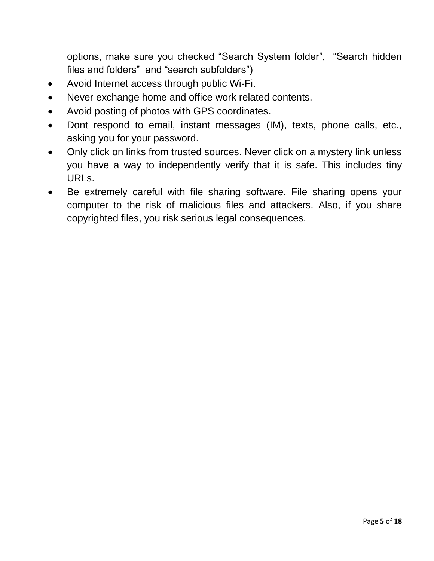options, make sure you checked "Search System folder", "Search hidden files and folders" and "search subfolders")

- Avoid Internet access through public Wi-Fi.
- Never exchange home and office work related contents.
- Avoid posting of photos with GPS coordinates.
- Dont respond to email, instant messages (IM), texts, phone calls, etc., asking you for your password.
- Only click on links from trusted sources. Never click on a mystery link unless you have a way to independently verify that it is safe. This includes tiny URLs.
- Be extremely careful with file sharing software. File sharing opens your computer to the risk of malicious files and attackers. Also, if you share copyrighted files, you risk serious legal consequences.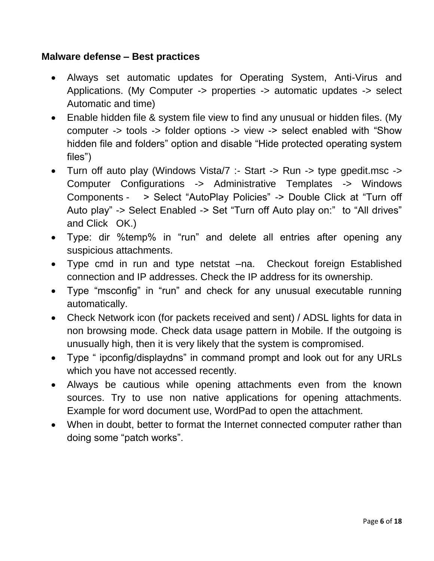#### **Malware defense – Best practices**

- Always set automatic updates for Operating System, Anti-Virus and Applications. (My Computer -> properties -> automatic updates -> select Automatic and time)
- Enable hidden file & system file view to find any unusual or hidden files. (My computer -> tools -> folder options -> view -> select enabled with "Show hidden file and folders" option and disable "Hide protected operating system files")
- Turn off auto play (Windows Vista/7 :- Start -> Run -> type gpedit.msc -> Computer Configurations -> Administrative Templates -> Windows Components - > Select "AutoPlay Policies" -> Double Click at "Turn off Auto play" -> Select Enabled -> Set "Turn off Auto play on:" to "All drives" and Click OK.)
- Type: dir %temp% in "run" and delete all entries after opening any suspicious attachments.
- Type cmd in run and type netstat –na. Checkout foreign Established connection and IP addresses. Check the IP address for its ownership.
- Type "msconfig" in "run" and check for any unusual executable running automatically.
- Check Network icon (for packets received and sent) / ADSL lights for data in non browsing mode. Check data usage pattern in Mobile. If the outgoing is unusually high, then it is very likely that the system is compromised.
- Type " ipconfig/displaydns" in command prompt and look out for any URLs which you have not accessed recently.
- Always be cautious while opening attachments even from the known sources. Try to use non native applications for opening attachments. Example for word document use, WordPad to open the attachment.
- When in doubt, better to format the Internet connected computer rather than doing some "patch works".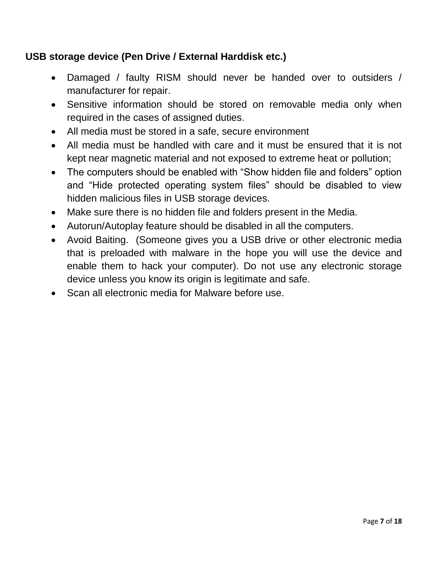# **USB storage device (Pen Drive / External Harddisk etc.)**

- Damaged / faulty RISM should never be handed over to outsiders / manufacturer for repair.
- Sensitive information should be stored on removable media only when required in the cases of assigned duties.
- All media must be stored in a safe, secure environment
- All media must be handled with care and it must be ensured that it is not kept near magnetic material and not exposed to extreme heat or pollution;
- The computers should be enabled with "Show hidden file and folders" option and "Hide protected operating system files" should be disabled to view hidden malicious files in USB storage devices.
- Make sure there is no hidden file and folders present in the Media.
- Autorun/Autoplay feature should be disabled in all the computers.
- Avoid Baiting. (Someone gives you a USB drive or other electronic media that is preloaded with malware in the hope you will use the device and enable them to hack your computer). Do not use any electronic storage device unless you know its origin is legitimate and safe.
- Scan all electronic media for Malware before use.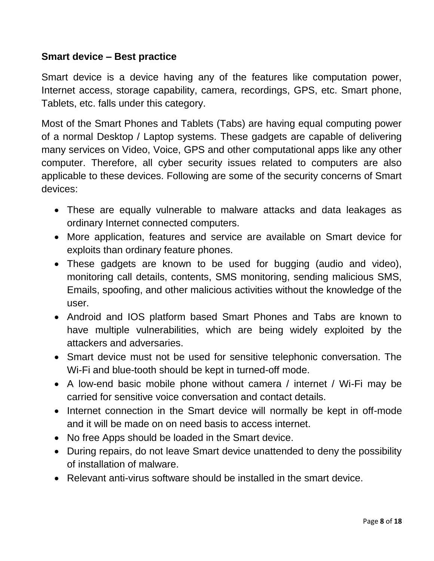#### **Smart device – Best practice**

Smart device is a device having any of the features like computation power, Internet access, storage capability, camera, recordings, GPS, etc. Smart phone, Tablets, etc. falls under this category.

Most of the Smart Phones and Tablets (Tabs) are having equal computing power of a normal Desktop / Laptop systems. These gadgets are capable of delivering many services on Video, Voice, GPS and other computational apps like any other computer. Therefore, all cyber security issues related to computers are also applicable to these devices. Following are some of the security concerns of Smart devices:

- These are equally vulnerable to malware attacks and data leakages as ordinary Internet connected computers.
- More application, features and service are available on Smart device for exploits than ordinary feature phones.
- These gadgets are known to be used for bugging (audio and video), monitoring call details, contents, SMS monitoring, sending malicious SMS, Emails, spoofing, and other malicious activities without the knowledge of the user.
- Android and IOS platform based Smart Phones and Tabs are known to have multiple vulnerabilities, which are being widely exploited by the attackers and adversaries.
- Smart device must not be used for sensitive telephonic conversation. The Wi-Fi and blue-tooth should be kept in turned-off mode.
- A low-end basic mobile phone without camera / internet / Wi-Fi may be carried for sensitive voice conversation and contact details.
- Internet connection in the Smart device will normally be kept in off-mode and it will be made on on need basis to access internet.
- No free Apps should be loaded in the Smart device.
- During repairs, do not leave Smart device unattended to deny the possibility of installation of malware.
- Relevant anti-virus software should be installed in the smart device.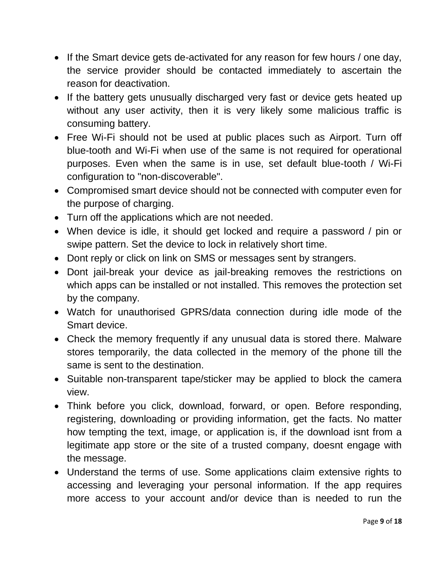- If the Smart device gets de-activated for any reason for few hours / one day, the service provider should be contacted immediately to ascertain the reason for deactivation.
- If the battery gets unusually discharged very fast or device gets heated up without any user activity, then it is very likely some malicious traffic is consuming battery.
- Free Wi-Fi should not be used at public places such as Airport. Turn off blue-tooth and Wi-Fi when use of the same is not required for operational purposes. Even when the same is in use, set default blue-tooth / Wi-Fi configuration to "non-discoverable".
- Compromised smart device should not be connected with computer even for the purpose of charging.
- Turn off the applications which are not needed.
- When device is idle, it should get locked and require a password / pin or swipe pattern. Set the device to lock in relatively short time.
- Dont reply or click on link on SMS or messages sent by strangers.
- Dont jail-break your device as jail-breaking removes the restrictions on which apps can be installed or not installed. This removes the protection set by the company.
- Watch for unauthorised GPRS/data connection during idle mode of the Smart device.
- Check the memory frequently if any unusual data is stored there. Malware stores temporarily, the data collected in the memory of the phone till the same is sent to the destination.
- Suitable non-transparent tape/sticker may be applied to block the camera view.
- Think before you click, download, forward, or open. Before responding, registering, downloading or providing information, get the facts. No matter how tempting the text, image, or application is, if the download isnt from a legitimate app store or the site of a trusted company, doesnt engage with the message.
- Understand the terms of use. Some applications claim extensive rights to accessing and leveraging your personal information. If the app requires more access to your account and/or device than is needed to run the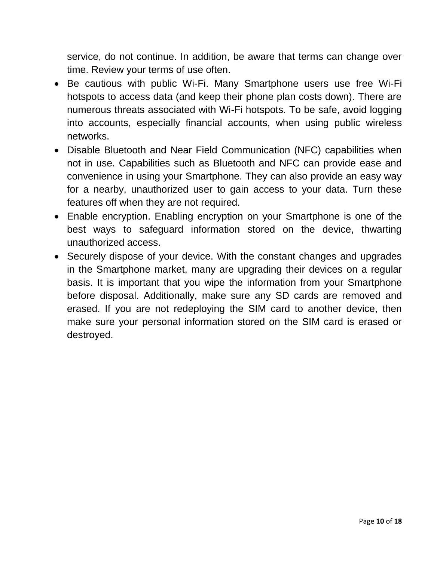service, do not continue. In addition, be aware that terms can change over time. Review your terms of use often.

- Be cautious with public Wi-Fi. Many Smartphone users use free Wi-Fi hotspots to access data (and keep their phone plan costs down). There are numerous threats associated with Wi-Fi hotspots. To be safe, avoid logging into accounts, especially financial accounts, when using public wireless networks.
- Disable Bluetooth and Near Field Communication (NFC) capabilities when not in use. Capabilities such as Bluetooth and NFC can provide ease and convenience in using your Smartphone. They can also provide an easy way for a nearby, unauthorized user to gain access to your data. Turn these features off when they are not required.
- Enable encryption. Enabling encryption on your Smartphone is one of the best ways to safeguard information stored on the device, thwarting unauthorized access.
- Securely dispose of your device. With the constant changes and upgrades in the Smartphone market, many are upgrading their devices on a regular basis. It is important that you wipe the information from your Smartphone before disposal. Additionally, make sure any SD cards are removed and erased. If you are not redeploying the SIM card to another device, then make sure your personal information stored on the SIM card is erased or destroyed.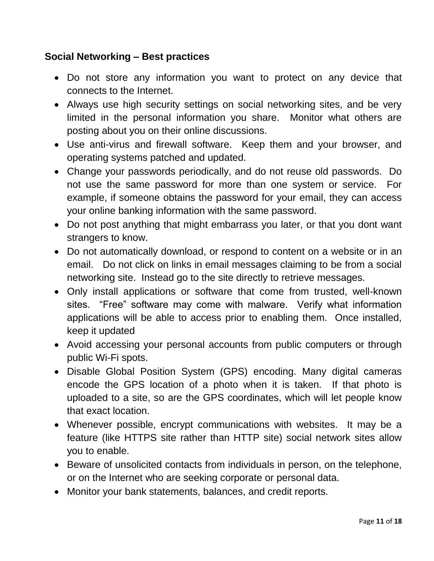## **Social Networking – Best practices**

- Do not store any information you want to protect on any device that connects to the Internet.
- Always use high security settings on social networking sites, and be very limited in the personal information you share. Monitor what others are posting about you on their online discussions.
- Use anti-virus and firewall software. Keep them and your browser, and operating systems patched and updated.
- Change your passwords periodically, and do not reuse old passwords. Do not use the same password for more than one system or service. For example, if someone obtains the password for your email, they can access your online banking information with the same password.
- Do not post anything that might embarrass you later, or that you dont want strangers to know.
- Do not automatically download, or respond to content on a website or in an email. Do not click on links in email messages claiming to be from a social networking site. Instead go to the site directly to retrieve messages.
- Only install applications or software that come from trusted, well-known sites. "Free" software may come with malware. Verify what information applications will be able to access prior to enabling them. Once installed, keep it updated
- Avoid accessing your personal accounts from public computers or through public Wi-Fi spots.
- Disable Global Position System (GPS) encoding. Many digital cameras encode the GPS location of a photo when it is taken. If that photo is uploaded to a site, so are the GPS coordinates, which will let people know that exact location.
- Whenever possible, encrypt communications with websites. It may be a feature (like HTTPS site rather than HTTP site) social network sites allow you to enable.
- Beware of unsolicited contacts from individuals in person, on the telephone, or on the Internet who are seeking corporate or personal data.
- Monitor your bank statements, balances, and credit reports.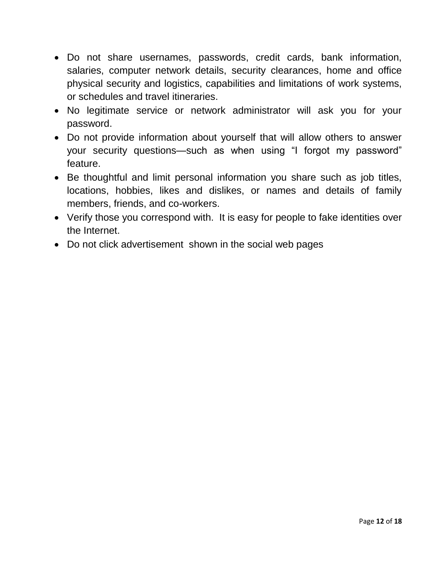- Do not share usernames, passwords, credit cards, bank information, salaries, computer network details, security clearances, home and office physical security and logistics, capabilities and limitations of work systems, or schedules and travel itineraries.
- No legitimate service or network administrator will ask you for your password.
- Do not provide information about yourself that will allow others to answer your security questions—such as when using "I forgot my password" feature.
- Be thoughtful and limit personal information you share such as job titles, locations, hobbies, likes and dislikes, or names and details of family members, friends, and co-workers.
- Verify those you correspond with. It is easy for people to fake identities over the Internet.
- Do not click advertisement shown in the social web pages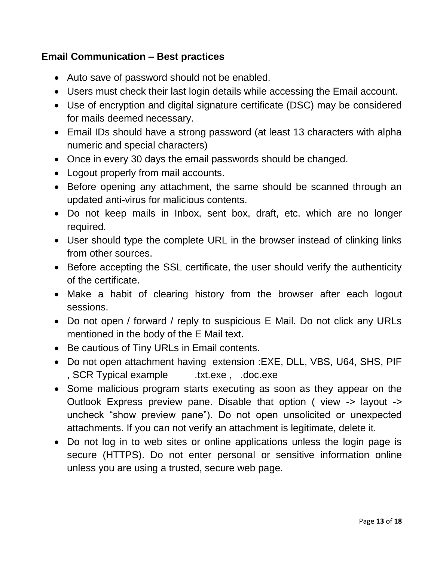## **Email Communication – Best practices**

- Auto save of password should not be enabled.
- Users must check their last login details while accessing the Email account.
- Use of encryption and digital signature certificate (DSC) may be considered for mails deemed necessary.
- Email IDs should have a strong password (at least 13 characters with alpha numeric and special characters)
- Once in every 30 days the email passwords should be changed.
- Logout properly from mail accounts.
- Before opening any attachment, the same should be scanned through an updated anti-virus for malicious contents.
- Do not keep mails in Inbox, sent box, draft, etc. which are no longer required.
- User should type the complete URL in the browser instead of clinking links from other sources.
- Before accepting the SSL certificate, the user should verify the authenticity of the certificate.
- Make a habit of clearing history from the browser after each logout sessions.
- Do not open / forward / reply to suspicious E Mail. Do not click any URLs mentioned in the body of the E Mail text.
- Be cautious of Tiny URLs in Email contents.
- Do not open attachment having extension :EXE, DLL, VBS, U64, SHS, PIF , SCR Typical example .txt.exe, .doc.exe
- Some malicious program starts executing as soon as they appear on the Outlook Express preview pane. Disable that option ( view -> layout -> uncheck "show preview pane"). Do not open unsolicited or unexpected attachments. If you can not verify an attachment is legitimate, delete it.
- Do not log in to web sites or online applications unless the login page is secure (HTTPS). Do not enter personal or sensitive information online unless you are using a trusted, secure web page.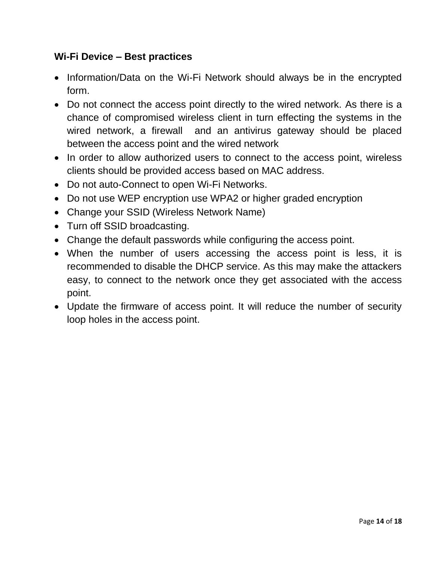#### **Wi-Fi Device – Best practices**

- Information/Data on the Wi-Fi Network should always be in the encrypted form.
- Do not connect the access point directly to the wired network. As there is a chance of compromised wireless client in turn effecting the systems in the wired network, a firewall and an antivirus gateway should be placed between the access point and the wired network
- In order to allow authorized users to connect to the access point, wireless clients should be provided access based on MAC address.
- Do not auto-Connect to open Wi-Fi Networks.
- Do not use WEP encryption use WPA2 or higher graded encryption
- Change your SSID (Wireless Network Name)
- Turn off SSID broadcasting.
- Change the default passwords while configuring the access point.
- When the number of users accessing the access point is less, it is recommended to disable the DHCP service. As this may make the attackers easy, to connect to the network once they get associated with the access point.
- Update the firmware of access point. It will reduce the number of security loop holes in the access point.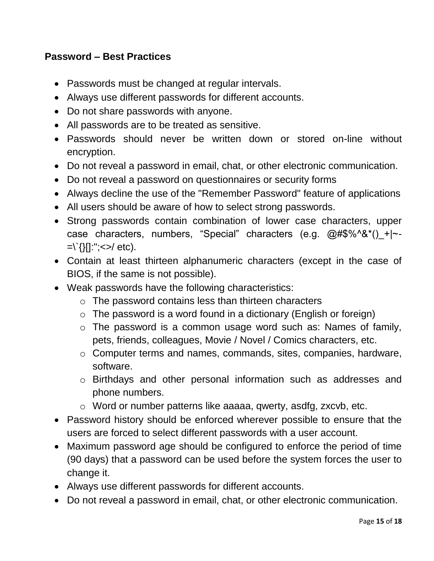#### **Password – Best Practices**

- Passwords must be changed at regular intervals.
- Always use different passwords for different accounts.
- Do not share passwords with anyone.
- All passwords are to be treated as sensitive.
- Passwords should never be written down or stored on-line without encryption.
- Do not reveal a password in email, chat, or other electronic communication.
- Do not reveal a password on questionnaires or security forms
- Always decline the use of the "Remember Password" feature of applications
- All users should be aware of how to select strong passwords.
- Strong passwords contain combination of lower case characters, upper case characters, numbers, "Special" characters (e.g. @#\$%^&\*()\_+|~- $=\'$ {}[]:"; < > / etc).
- Contain at least thirteen alphanumeric characters (except in the case of BIOS, if the same is not possible).
- Weak passwords have the following characteristics:
	- o The password contains less than thirteen characters
	- $\circ$  The password is a word found in a dictionary (English or foreign)
	- $\circ$  The password is a common usage word such as: Names of family, pets, friends, colleagues, Movie / Novel / Comics characters, etc.
	- o Computer terms and names, commands, sites, companies, hardware, software.
	- o Birthdays and other personal information such as addresses and phone numbers.
	- o Word or number patterns like aaaaa, qwerty, asdfg, zxcvb, etc.
- Password history should be enforced wherever possible to ensure that the users are forced to select different passwords with a user account.
- Maximum password age should be configured to enforce the period of time (90 days) that a password can be used before the system forces the user to change it.
- Always use different passwords for different accounts.
- Do not reveal a password in email, chat, or other electronic communication.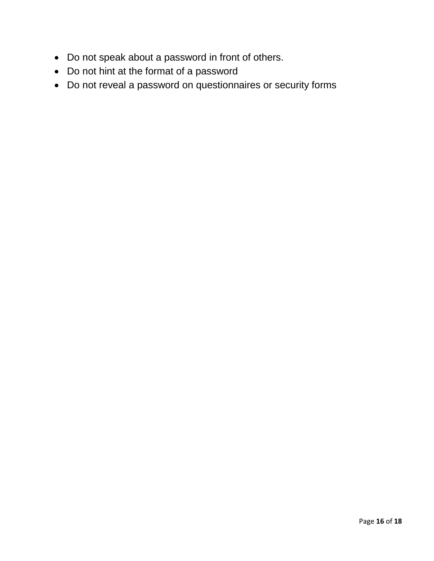- Do not speak about a password in front of others.
- Do not hint at the format of a password
- Do not reveal a password on questionnaires or security forms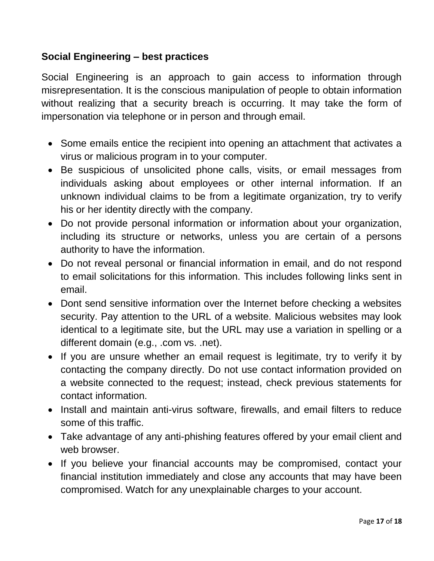## **Social Engineering – best practices**

Social Engineering is an approach to gain access to information through misrepresentation. It is the conscious manipulation of people to obtain information without realizing that a security breach is occurring. It may take the form of impersonation via telephone or in person and through email.

- Some emails entice the recipient into opening an attachment that activates a virus or malicious program in to your computer.
- Be suspicious of unsolicited phone calls, visits, or email messages from individuals asking about employees or other internal information. If an unknown individual claims to be from a legitimate organization, try to verify his or her identity directly with the company.
- Do not provide personal information or information about your organization, including its structure or networks, unless you are certain of a persons authority to have the information.
- Do not reveal personal or financial information in email, and do not respond to email solicitations for this information. This includes following links sent in email.
- Dont send sensitive information over the Internet before checking a websites security. Pay attention to the URL of a website. Malicious websites may look identical to a legitimate site, but the URL may use a variation in spelling or a different domain (e.g., .com vs. .net).
- If you are unsure whether an email request is legitimate, try to verify it by contacting the company directly. Do not use contact information provided on a website connected to the request; instead, check previous statements for contact information.
- Install and maintain anti-virus software, firewalls, and email filters to reduce some of this traffic.
- Take advantage of any anti-phishing features offered by your email client and web browser.
- If you believe your financial accounts may be compromised, contact your financial institution immediately and close any accounts that may have been compromised. Watch for any unexplainable charges to your account.